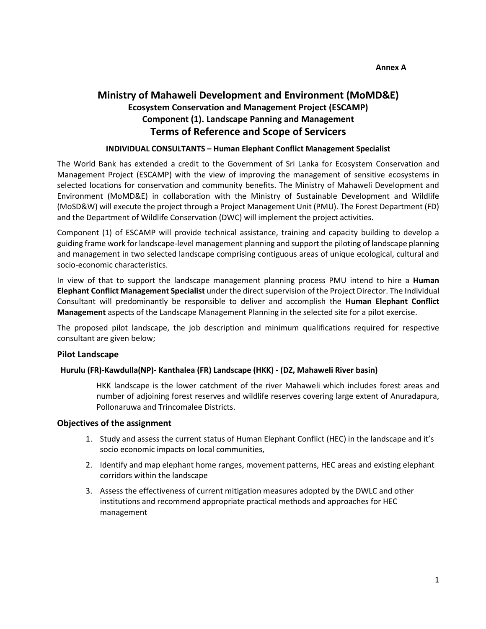# **Ministry of Mahaweli Development and Environment (MoMD&E) Ecosystem Conservation and Management Project (ESCAMP) Component (1). Landscape Panning and Management Terms of Reference and Scope of Servicers**

### **INDIVIDUAL CONSULTANTS – Human Elephant Conflict Management Specialist**

The World Bank has extended a credit to the Government of Sri Lanka for Ecosystem Conservation and Management Project (ESCAMP) with the view of improving the management of sensitive ecosystems in selected locations for conservation and community benefits. The Ministry of Mahaweli Development and Environment (MoMD&E) in collaboration with the Ministry of Sustainable Development and Wildlife (MoSD&W) will execute the project through a Project Management Unit (PMU). The Forest Department (FD) and the Department of Wildlife Conservation (DWC) will implement the project activities.

Component (1) of ESCAMP will provide technical assistance, training and capacity building to develop a guiding frame work for landscape-level management planning and support the piloting of landscape planning and management in two selected landscape comprising contiguous areas of unique ecological, cultural and socio-economic characteristics.

In view of that to support the landscape management planning process PMU intend to hire a **Human Elephant Conflict Management Specialist** under the direct supervision of the Project Director. The Individual Consultant will predominantly be responsible to deliver and accomplish the **Human Elephant Conflict Management** aspects of the Landscape Management Planning in the selected site for a pilot exercise.

The proposed pilot landscape, the job description and minimum qualifications required for respective consultant are given below;

#### **Pilot Landscape**

#### **Hurulu (FR)-Kawdulla(NP)- Kanthalea (FR) Landscape (HKK) - (DZ, Mahaweli River basin)**

HKK landscape is the lower catchment of the river Mahaweli which includes forest areas and number of adjoining forest reserves and wildlife reserves covering large extent of Anuradapura, Pollonaruwa and Trincomalee Districts.

#### **Objectives of the assignment**

- 1. Study and assess the current status of Human Elephant Conflict (HEC) in the landscape and it's socio economic impacts on local communities,
- 2. Identify and map elephant home ranges, movement patterns, HEC areas and existing elephant corridors within the landscape
- 3. Assess the effectiveness of current mitigation measures adopted by the DWLC and other institutions and recommend appropriate practical methods and approaches for HEC management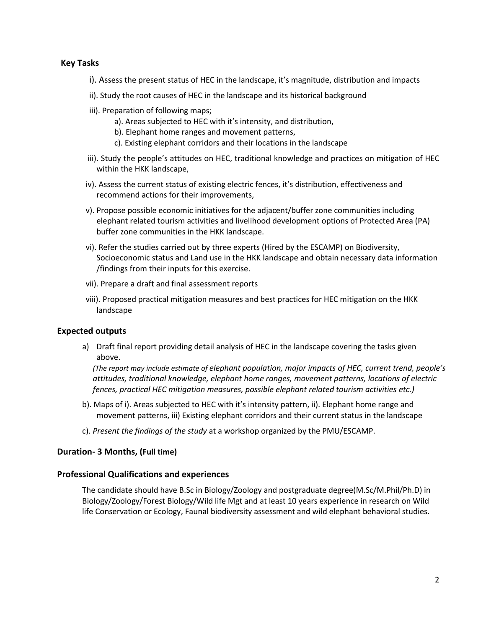## **Key Tasks**

- i). Assess the present status of HEC in the landscape, it's magnitude, distribution and impacts
- ii). Study the root causes of HEC in the landscape and its historical background
- iii). Preparation of following maps;
	- a). Areas subjected to HEC with it's intensity, and distribution,
	- b). Elephant home ranges and movement patterns,
	- c). Existing elephant corridors and their locations in the landscape
- iii). Study the people's attitudes on HEC, traditional knowledge and practices on mitigation of HEC within the HKK landscape,
- iv). Assess the current status of existing electric fences, it's distribution, effectiveness and recommend actions for their improvements,
- v). Propose possible economic initiatives for the adjacent/buffer zone communities including elephant related tourism activities and livelihood development options of Protected Area (PA) buffer zone communities in the HKK landscape.
- vi). Refer the studies carried out by three experts (Hired by the ESCAMP) on Biodiversity, Socioeconomic status and Land use in the HKK landscape and obtain necessary data information /findings from their inputs for this exercise.
- vii). Prepare a draft and final assessment reports
- viii). Proposed practical mitigation measures and best practices for HEC mitigation on the HKK landscape

## **Expected outputs**

a) Draft final report providing detail analysis of HEC in the landscape covering the tasks given above.

*(The report may include estimate of elephant population, major impacts of HEC, current trend, people's attitudes, traditional knowledge, elephant home ranges, movement patterns, locations of electric fences, practical HEC mitigation measures, possible elephant related tourism activities etc.)*

- b). Maps of i). Areas subjected to HEC with it's intensity pattern, ii). Elephant home range and movement patterns, iii) Existing elephant corridors and their current status in the landscape
- c). *Present the findings of the study* at a workshop organized by the PMU/ESCAMP.

## **Duration- 3 Months, (Full time)**

#### **Professional Qualifications and experiences**

The candidate should have B.Sc in Biology/Zoology and postgraduate degree(M.Sc/M.Phil/Ph.D) in Biology/Zoology/Forest Biology/Wild life Mgt and at least 10 years experience in research on Wild life Conservation or Ecology, Faunal biodiversity assessment and wild elephant behavioral studies.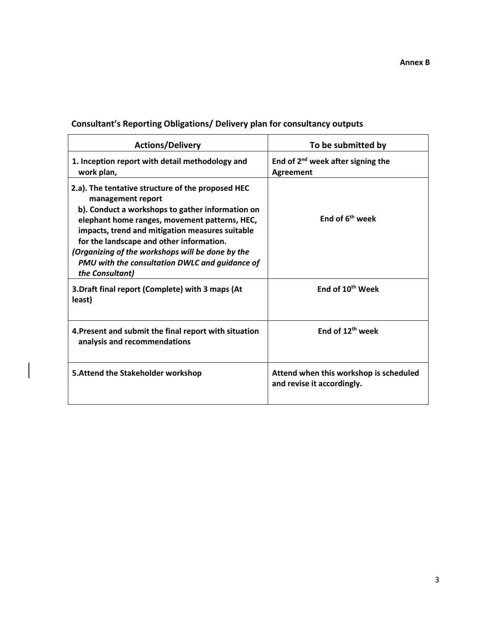| <b>Actions/Delivery</b>                                                                                                                                                                                                                                                                                                                                                                             | To be submitted by                                                   |  |
|-----------------------------------------------------------------------------------------------------------------------------------------------------------------------------------------------------------------------------------------------------------------------------------------------------------------------------------------------------------------------------------------------------|----------------------------------------------------------------------|--|
| 1. Inception report with detail methodology and<br>work plan,                                                                                                                                                                                                                                                                                                                                       | End of 2 <sup>nd</sup> week after signing the<br><b>Agreement</b>    |  |
| 2.a). The tentative structure of the proposed HEC<br>management report<br>b). Conduct a workshops to gather information on<br>elephant home ranges, movement patterns, HEC,<br>impacts, trend and mitigation measures suitable<br>for the landscape and other information.<br>(Organizing of the workshops will be done by the<br>PMU with the consultation DWLC and guidance of<br>the Consultant) | End of 6 <sup>th</sup> week                                          |  |
| 3. Draft final report (Complete) with 3 maps (At<br>least)                                                                                                                                                                                                                                                                                                                                          | End of 10 <sup>th</sup> Week                                         |  |
| 4. Present and submit the final report with situation<br>analysis and recommendations                                                                                                                                                                                                                                                                                                               | End of 12 <sup>th</sup> week                                         |  |
| 5. Attend the Stakeholder workshop                                                                                                                                                                                                                                                                                                                                                                  | Attend when this workshop is scheduled<br>and revise it accordingly. |  |

# **Consultant's Reporting Obligations/ Delivery plan for consultancy outputs**

 $\bigg| \bigg|$